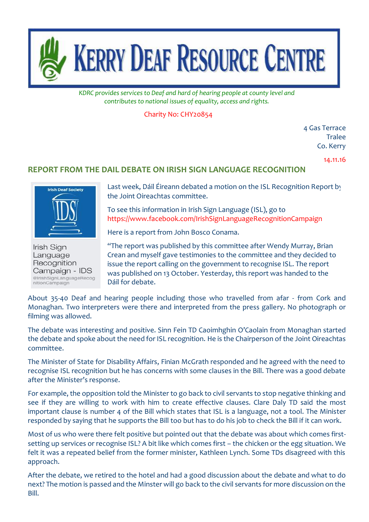

*KDRC provides services to Deaf and hard of hearing people at county level and contributes to national issues of equality, access and rights.*

Charity No: CHY20854

4 Gas Terrace **Tralee** Co. Kerry

14.11.16

## **REPORT FROM THE DAIL DEBATE ON IRISH SIGN LANGUAGE RECOGNITION**



Irish Sign Language Recognition Campaign - IDS @IrishSignLanguageRecog nitionCampaign

Last week, Dáil Éireann debated a motion on the ISL Recognition Report by the Joint Oireachtas committee.

To see this information in Irish Sign Language (ISL), go to https://www.facebook.com/IrishSignLanguageRecognitionCampaign

Here is a report from John Bosco Conama.

"The report was published by this committee after Wendy Murray, Brian Crean and myself gave testimonies to the committee and they decided to issue the report calling on the government to recognise ISL. The report was published on 13 October. Yesterday, this report was handed to the Dáil for debate.

About 35-40 Deaf and hearing people including those who travelled from afar - from Cork and Monaghan. Two interpreters were there and interpreted from the press gallery. No photograph or filming was allowed.

The debate was interesting and positive. Sinn Fein TD Caoimhghin O'Caolain from Monaghan started the debate and spoke about the need for ISL recognition. He is the Chairperson of the Joint Oireachtas committee.

The Minister of State for Disability Affairs, Finian McGrath responded and he agreed with the need to recognise ISL recognition but he has concerns with some clauses in the Bill. There was a good debate after the Minister's response.

For example, the opposition told the Minister to go back to civil servants to stop negative thinking and see if they are willing to work with him to create effective clauses. Clare Daly TD said the most important clause is number 4 of the Bill which states that ISL is a language, not a tool. The Minister responded by saying that he supports the Bill too but has to do his job to check the Bill if it can work.

Most of us who were there felt positive but pointed out that the debate was about which comes firstsetting up services or recognise ISL? A bit like which comes first – the chicken or the egg situation. We felt it was a repeated belief from the former minister, Kathleen Lynch. Some TDs disagreed with this approach.

After the debate, we retired to the hotel and had a good discussion about the debate and what to do next? The motion is passed and the Minster will go back to the civil servants for more discussion on the Bill.